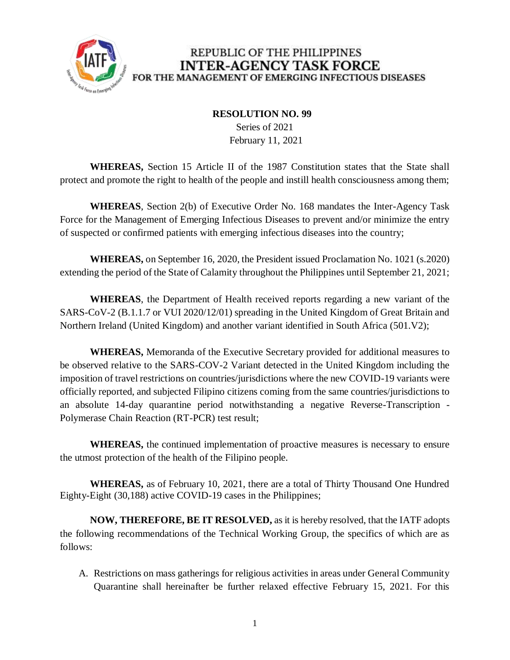

## REPUBLIC OF THE PHILIPPINES **INTER-AGENCY TASK FORCE** FOR THE MANAGEMENT OF EMERGING INFECTIOUS DISEASES

## **RESOLUTION NO. 99**

 Series of 2021 February 11, 2021

**WHEREAS,** Section 15 Article II of the 1987 Constitution states that the State shall protect and promote the right to health of the people and instill health consciousness among them;

**WHEREAS**, Section 2(b) of Executive Order No. 168 mandates the Inter-Agency Task Force for the Management of Emerging Infectious Diseases to prevent and/or minimize the entry of suspected or confirmed patients with emerging infectious diseases into the country;

**WHEREAS,** on September 16, 2020, the President issued Proclamation No. 1021 (s.2020) extending the period of the State of Calamity throughout the Philippines until September 21, 2021;

**WHEREAS**, the Department of Health received reports regarding a new variant of the SARS-CoV-2 (B.1.1.7 or VUI 2020/12/01) spreading in the United Kingdom of Great Britain and Northern Ireland (United Kingdom) and another variant identified in South Africa (501.V2);

**WHEREAS,** Memoranda of the Executive Secretary provided for additional measures to be observed relative to the SARS-COV-2 Variant detected in the United Kingdom including the imposition of travel restrictions on countries/jurisdictions where the new COVID-19 variants were officially reported, and subjected Filipino citizens coming from the same countries/jurisdictions to an absolute 14-day quarantine period notwithstanding a negative Reverse-Transcription - Polymerase Chain Reaction (RT-PCR) test result;

**WHEREAS,** the continued implementation of proactive measures is necessary to ensure the utmost protection of the health of the Filipino people.

**WHEREAS,** as of February 10, 2021, there are a total of Thirty Thousand One Hundred Eighty-Eight (30,188) active COVID-19 cases in the Philippines;

**NOW, THEREFORE, BE IT RESOLVED,** as it is hereby resolved, that the IATF adopts the following recommendations of the Technical Working Group, the specifics of which are as follows:

A. Restrictions on mass gatherings for religious activities in areas under General Community Quarantine shall hereinafter be further relaxed effective February 15, 2021. For this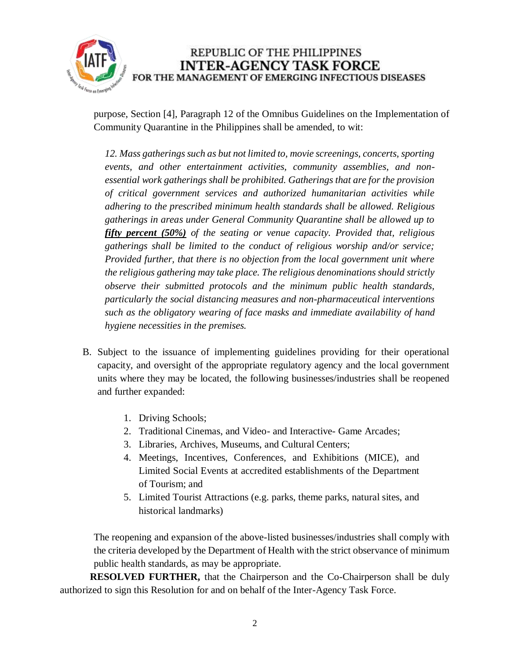

REPUBLIC OF THE PHILIPPINES **INTER-AGENCY TASK FORCE** FOR THE MANAGEMENT OF EMERGING INFECTIOUS DISEASES

purpose, Section [4], Paragraph 12 of the Omnibus Guidelines on the Implementation of Community Quarantine in the Philippines shall be amended, to wit:

*12. Mass gatherings such as but not limited to, movie screenings, concerts, sporting events, and other entertainment activities, community assemblies, and nonessential work gatherings shall be prohibited. Gatherings that are for the provision of critical government services and authorized humanitarian activities while adhering to the prescribed minimum health standards shall be allowed. Religious gatherings in areas under General Community Quarantine shall be allowed up to fifty percent (50%) of the seating or venue capacity. Provided that, religious gatherings shall be limited to the conduct of religious worship and/or service; Provided further, that there is no objection from the local government unit where the religious gathering may take place. The religious denominations should strictly observe their submitted protocols and the minimum public health standards, particularly the social distancing measures and non-pharmaceutical interventions such as the obligatory wearing of face masks and immediate availability of hand hygiene necessities in the premises.*

- B. Subject to the issuance of implementing guidelines providing for their operational capacity, and oversight of the appropriate regulatory agency and the local government units where they may be located, the following businesses/industries shall be reopened and further expanded:
	- 1. Driving Schools;
	- 2. Traditional Cinemas, and Video- and Interactive- Game Arcades;
	- 3. Libraries, Archives, Museums, and Cultural Centers;
	- 4. Meetings, Incentives, Conferences, and Exhibitions (MICE), and Limited Social Events at accredited establishments of the Department of Tourism; and
	- 5. Limited Tourist Attractions (e.g. parks, theme parks, natural sites, and historical landmarks)

The reopening and expansion of the above-listed businesses/industries shall comply with the criteria developed by the Department of Health with the strict observance of minimum public health standards, as may be appropriate.

**RESOLVED FURTHER,** that the Chairperson and the Co-Chairperson shall be duly authorized to sign this Resolution for and on behalf of the Inter-Agency Task Force.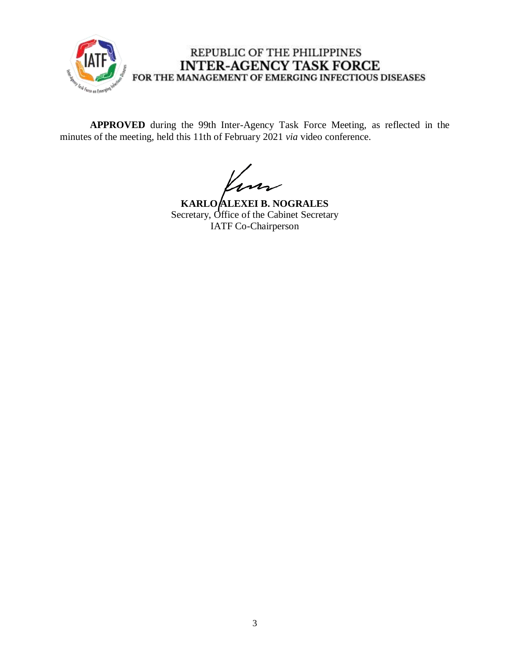

## REPUBLIC OF THE PHILIPPINES **INTER-AGENCY TASK FORCE** FOR THE MANAGEMENT OF EMERGING INFECTIOUS DISEASES

**APPROVED** during the 99th Inter-Agency Task Force Meeting, as reflected in the minutes of the meeting, held this 11th of February 2021 *via* video conference.

m

**KARLO ALEXEI B. NOGRALES** Secretary, Office of the Cabinet Secretary IATF Co-Chairperson